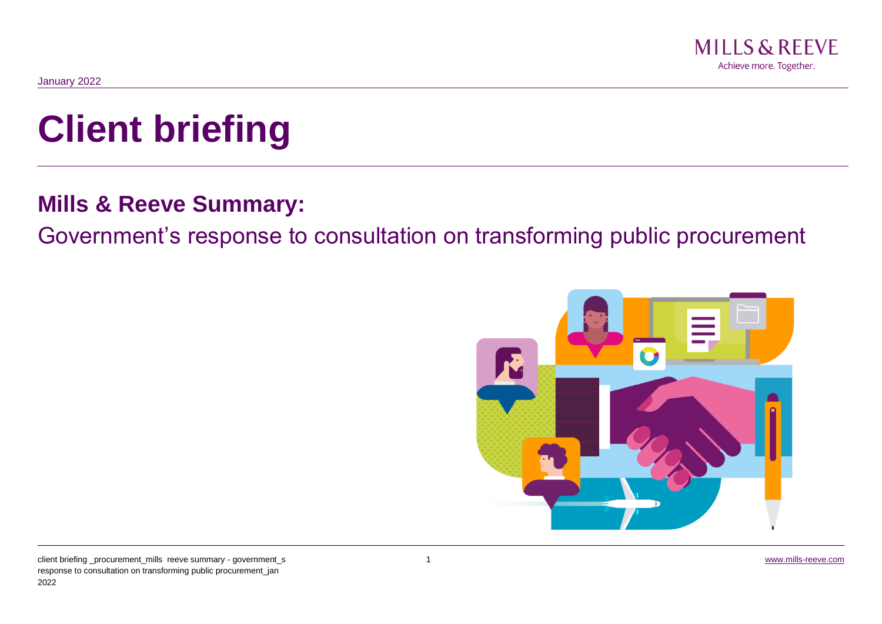

# **Client briefing**

# **Mills & Reeve Summary:**

Government's response to consultation on transforming public procurement

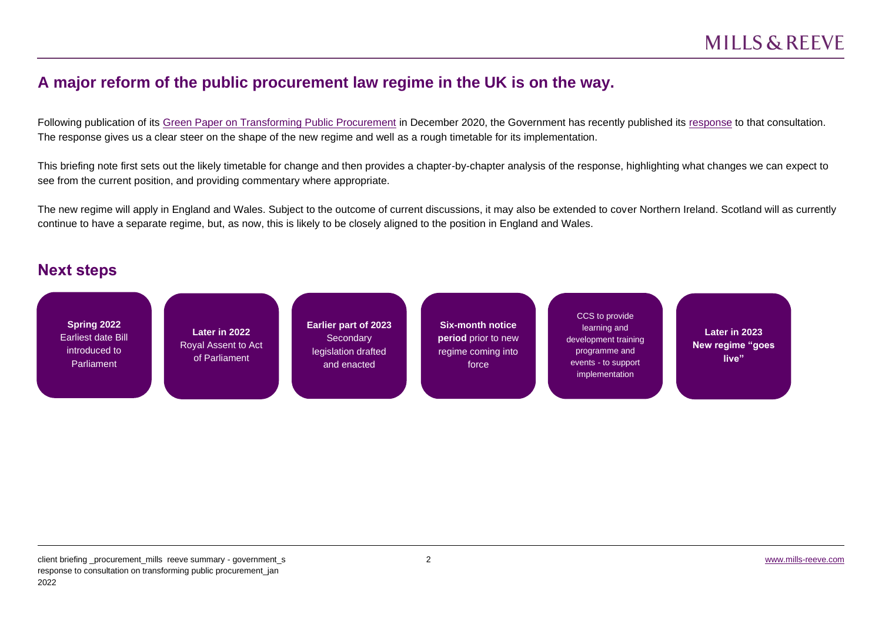## **A major reform of the public procurement law regime in the UK is on the way.**

Following publication of its [Green Paper on Transforming Public Procurement](https://www.gov.uk/government/consultations/green-paper-transforming-public-procurement) in December 2020, the Government has recently published its [response](https://assets.publishing.service.gov.uk/government/uploads/system/uploads/attachment_data/file/1038516/Transforming_Public_Procurement-_Government_response_to_consultation.v3_.pdf) to that consultation. The response gives us a clear steer on the shape of the new regime and well as a rough timetable for its implementation.

This briefing note first sets out the likely timetable for change and then provides a chapter-by-chapter analysis of the response, highlighting what changes we can expect to see from the current position, and providing commentary where appropriate.

The new regime will apply in England and Wales. Subject to the outcome of current discussions, it may also be extended to cover Northern Ireland. Scotland will as currently continue to have a separate regime, but, as now, this is likely to be closely aligned to the position in England and Wales.

### **Next steps**

| Spring 2022<br>Earliest date Bill<br>introduced to<br>Parliament | Later in 2022<br>Royal Assent to Act<br>of Parliament | <b>Earlier part of 2023</b><br>Secondary<br>legislation drafted<br>and enacted | <b>Six-month notice</b><br><b>period</b> prior to new<br>regime coming into<br>force | CCS to provide<br>learning and<br>development training<br>programme and<br>events - to support<br>implementation | Later in 2023<br>New regime "goes<br>live" |
|------------------------------------------------------------------|-------------------------------------------------------|--------------------------------------------------------------------------------|--------------------------------------------------------------------------------------|------------------------------------------------------------------------------------------------------------------|--------------------------------------------|
|                                                                  |                                                       |                                                                                |                                                                                      |                                                                                                                  |                                            |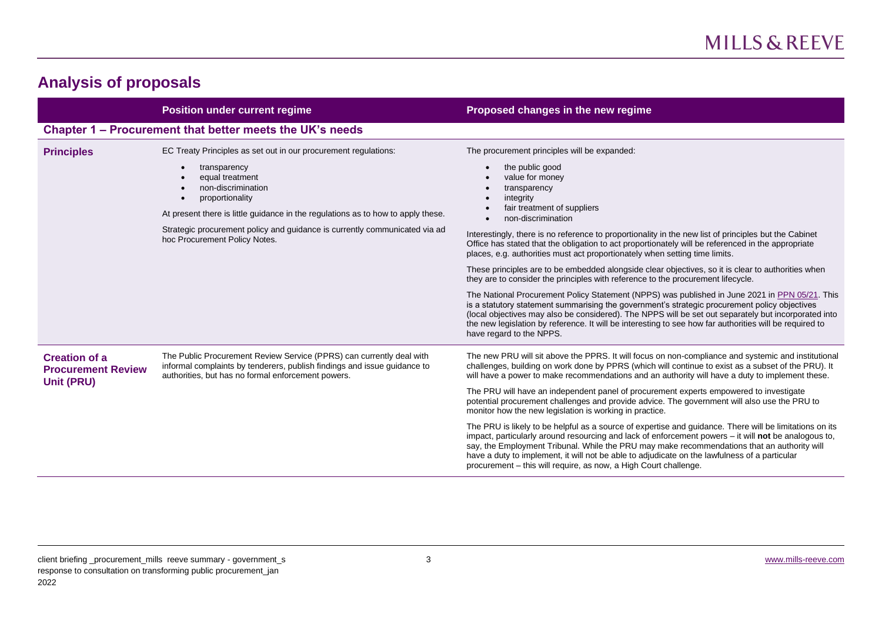## **Analysis of proposals**

|                                                                 | <b>Position under current regime</b>                                                                                                                                                                   | Proposed changes in the new regime                                                                                                                                                                                                                                                                                                                                                                                                                                                           |
|-----------------------------------------------------------------|--------------------------------------------------------------------------------------------------------------------------------------------------------------------------------------------------------|----------------------------------------------------------------------------------------------------------------------------------------------------------------------------------------------------------------------------------------------------------------------------------------------------------------------------------------------------------------------------------------------------------------------------------------------------------------------------------------------|
|                                                                 | Chapter 1 – Procurement that better meets the UK's needs                                                                                                                                               |                                                                                                                                                                                                                                                                                                                                                                                                                                                                                              |
| <b>Principles</b>                                               | EC Treaty Principles as set out in our procurement regulations:                                                                                                                                        | The procurement principles will be expanded:                                                                                                                                                                                                                                                                                                                                                                                                                                                 |
|                                                                 | transparency<br>equal treatment<br>non-discrimination<br>proportionality<br>At present there is little guidance in the regulations as to how to apply these.                                           | the public good<br>value for money<br>transparency<br>integrity<br>fair treatment of suppliers<br>non-discrimination                                                                                                                                                                                                                                                                                                                                                                         |
|                                                                 | Strategic procurement policy and guidance is currently communicated via ad<br>hoc Procurement Policy Notes.                                                                                            | Interestingly, there is no reference to proportionality in the new list of principles but the Cabinet<br>Office has stated that the obligation to act proportionately will be referenced in the appropriate<br>places, e.g. authorities must act proportionately when setting time limits.                                                                                                                                                                                                   |
|                                                                 |                                                                                                                                                                                                        | These principles are to be embedded alongside clear objectives, so it is clear to authorities when<br>they are to consider the principles with reference to the procurement lifecycle.                                                                                                                                                                                                                                                                                                       |
|                                                                 |                                                                                                                                                                                                        | The National Procurement Policy Statement (NPPS) was published in June 2021 in PPN 05/21. This<br>is a statutory statement summarising the government's strategic procurement policy objectives<br>(local objectives may also be considered). The NPPS will be set out separately but incorporated into<br>the new legislation by reference. It will be interesting to see how far authorities will be required to<br>have regard to the NPPS.                                               |
| <b>Creation of a</b><br><b>Procurement Review</b><br>Unit (PRU) | The Public Procurement Review Service (PPRS) can currently deal with<br>informal complaints by tenderers, publish findings and issue guidance to<br>authorities, but has no formal enforcement powers. | The new PRU will sit above the PPRS. It will focus on non-compliance and systemic and institutional<br>challenges, building on work done by PPRS (which will continue to exist as a subset of the PRU). It<br>will have a power to make recommendations and an authority will have a duty to implement these.                                                                                                                                                                                |
|                                                                 |                                                                                                                                                                                                        | The PRU will have an independent panel of procurement experts empowered to investigate<br>potential procurement challenges and provide advice. The government will also use the PRU to<br>monitor how the new legislation is working in practice.                                                                                                                                                                                                                                            |
|                                                                 |                                                                                                                                                                                                        | The PRU is likely to be helpful as a source of expertise and guidance. There will be limitations on its<br>impact, particularly around resourcing and lack of enforcement powers $-$ it will <b>not</b> be analogous to,<br>say, the Employment Tribunal. While the PRU may make recommendations that an authority will<br>have a duty to implement, it will not be able to adjudicate on the lawfulness of a particular<br>procurement - this will require, as now, a High Court challenge. |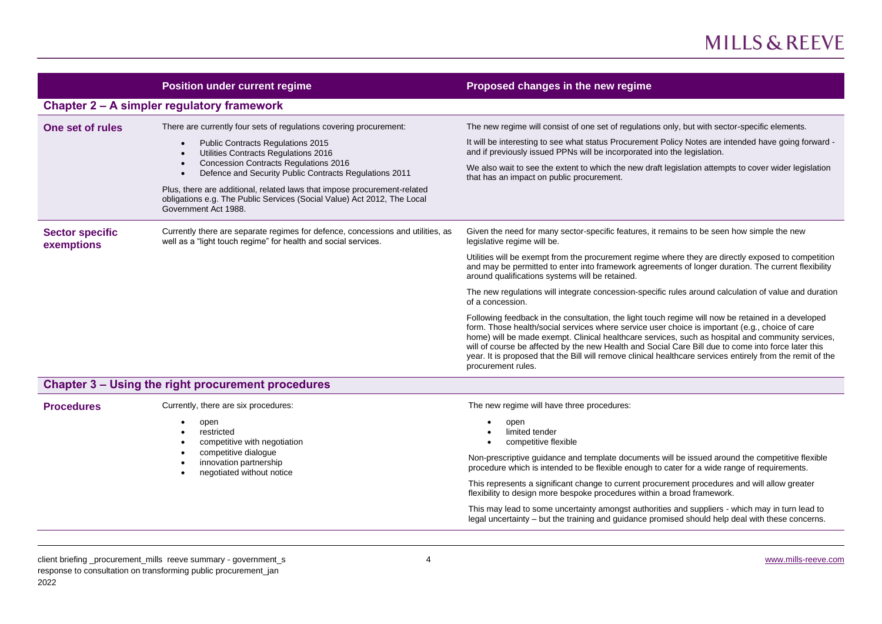|                                      | <b>Position under current regime</b>                                                                                                                                                                                                                                                                                                                                                                                                                                                         | Proposed changes in the new regime                                                                                                                                                                                                                                                                                                                                                                                                                                                                                                                                                                                                                                                                                                                                                                                                                                                                                                                                                                                                                                               |
|--------------------------------------|----------------------------------------------------------------------------------------------------------------------------------------------------------------------------------------------------------------------------------------------------------------------------------------------------------------------------------------------------------------------------------------------------------------------------------------------------------------------------------------------|----------------------------------------------------------------------------------------------------------------------------------------------------------------------------------------------------------------------------------------------------------------------------------------------------------------------------------------------------------------------------------------------------------------------------------------------------------------------------------------------------------------------------------------------------------------------------------------------------------------------------------------------------------------------------------------------------------------------------------------------------------------------------------------------------------------------------------------------------------------------------------------------------------------------------------------------------------------------------------------------------------------------------------------------------------------------------------|
|                                      | Chapter 2 – A simpler regulatory framework                                                                                                                                                                                                                                                                                                                                                                                                                                                   |                                                                                                                                                                                                                                                                                                                                                                                                                                                                                                                                                                                                                                                                                                                                                                                                                                                                                                                                                                                                                                                                                  |
| One set of rules                     | There are currently four sets of regulations covering procurement:<br>Public Contracts Regulations 2015<br>$\bullet$<br>Utilities Contracts Regulations 2016<br>$\bullet$<br><b>Concession Contracts Regulations 2016</b><br>$\bullet$<br>Defence and Security Public Contracts Regulations 2011<br>$\bullet$<br>Plus, there are additional, related laws that impose procurement-related<br>obligations e.g. The Public Services (Social Value) Act 2012, The Local<br>Government Act 1988. | The new regime will consist of one set of regulations only, but with sector-specific elements.<br>It will be interesting to see what status Procurement Policy Notes are intended have going forward -<br>and if previously issued PPNs will be incorporated into the legislation.<br>We also wait to see the extent to which the new draft legislation attempts to cover wider legislation<br>that has an impact on public procurement.                                                                                                                                                                                                                                                                                                                                                                                                                                                                                                                                                                                                                                         |
| <b>Sector specific</b><br>exemptions | Currently there are separate regimes for defence, concessions and utilities, as<br>well as a "light touch regime" for health and social services.                                                                                                                                                                                                                                                                                                                                            | Given the need for many sector-specific features, it remains to be seen how simple the new<br>legislative regime will be.<br>Utilities will be exempt from the procurement regime where they are directly exposed to competition<br>and may be permitted to enter into framework agreements of longer duration. The current flexibility<br>around qualifications systems will be retained.<br>The new regulations will integrate concession-specific rules around calculation of value and duration<br>of a concession.<br>Following feedback in the consultation, the light touch regime will now be retained in a developed<br>form. Those health/social services where service user choice is important (e.g., choice of care<br>home) will be made exempt. Clinical healthcare services, such as hospital and community services,<br>will of course be affected by the new Health and Social Care Bill due to come into force later this<br>year. It is proposed that the Bill will remove clinical healthcare services entirely from the remit of the<br>procurement rules. |
|                                      | <b>Chapter 3 - Using the right procurement procedures</b>                                                                                                                                                                                                                                                                                                                                                                                                                                    |                                                                                                                                                                                                                                                                                                                                                                                                                                                                                                                                                                                                                                                                                                                                                                                                                                                                                                                                                                                                                                                                                  |
| <b>Procedures</b>                    | Currently, there are six procedures:<br>open<br>restricted<br>$\bullet$<br>competitive with negotiation<br>competitive dialogue<br>innovation partnership<br>negotiated without notice<br>$\bullet$                                                                                                                                                                                                                                                                                          | The new regime will have three procedures:<br>open<br>limited tender<br>competitive flexible<br>Non-prescriptive guidance and template documents will be issued around the competitive flexible<br>procedure which is intended to be flexible enough to cater for a wide range of requirements.<br>This represents a significant change to current procurement procedures and will allow greater<br>flexibility to design more bespoke procedures within a broad framework.                                                                                                                                                                                                                                                                                                                                                                                                                                                                                                                                                                                                      |

This may lead to some uncertainty amongst authorities and suppliers - which may in turn lead to legal uncertainty – but the training and guidance promised should help deal with these concerns.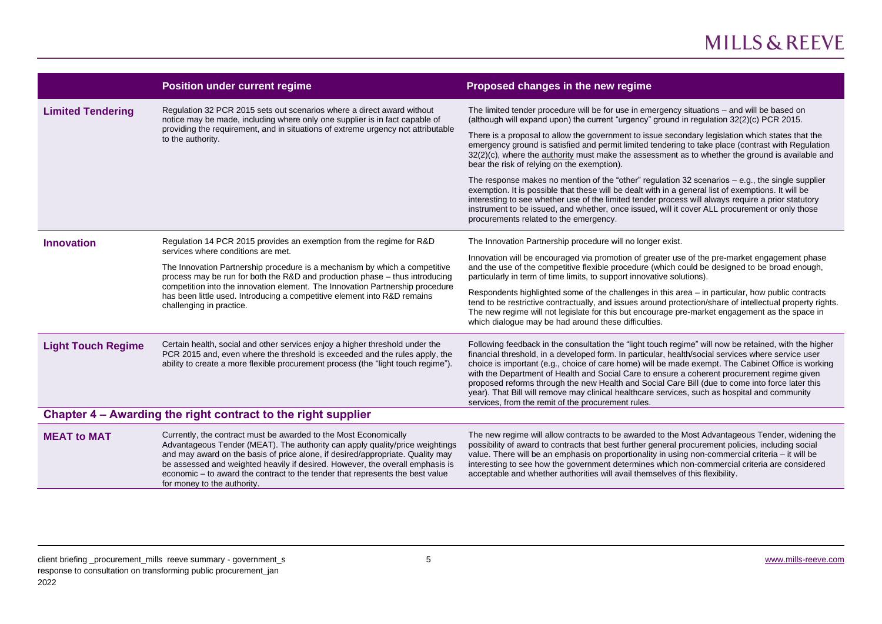|                           | <b>Position under current regime</b>                                                                                                                                                                                                                                                                                                                                                                                                | Proposed changes in the new regime                                                                                                                                                                                                                                                                                                                                                                                                                                                                                                                                                                                                                                         |
|---------------------------|-------------------------------------------------------------------------------------------------------------------------------------------------------------------------------------------------------------------------------------------------------------------------------------------------------------------------------------------------------------------------------------------------------------------------------------|----------------------------------------------------------------------------------------------------------------------------------------------------------------------------------------------------------------------------------------------------------------------------------------------------------------------------------------------------------------------------------------------------------------------------------------------------------------------------------------------------------------------------------------------------------------------------------------------------------------------------------------------------------------------------|
| <b>Limited Tendering</b>  | Regulation 32 PCR 2015 sets out scenarios where a direct award without<br>notice may be made, including where only one supplier is in fact capable of                                                                                                                                                                                                                                                                               | The limited tender procedure will be for use in emergency situations - and will be based on<br>(although will expand upon) the current "urgency" ground in regulation 32(2)(c) PCR 2015.                                                                                                                                                                                                                                                                                                                                                                                                                                                                                   |
|                           | providing the requirement, and in situations of extreme urgency not attributable<br>to the authority.                                                                                                                                                                                                                                                                                                                               | There is a proposal to allow the government to issue secondary legislation which states that the<br>emergency ground is satisfied and permit limited tendering to take place (contrast with Regulation<br>32(2)(c), where the authority must make the assessment as to whether the ground is available and<br>bear the risk of relying on the exemption).                                                                                                                                                                                                                                                                                                                  |
|                           |                                                                                                                                                                                                                                                                                                                                                                                                                                     | The response makes no mention of the "other" regulation 32 scenarios $-$ e.g., the single supplier<br>exemption. It is possible that these will be dealt with in a general list of exemptions. It will be<br>interesting to see whether use of the limited tender process will always require a prior statutory<br>instrument to be issued, and whether, once issued, will it cover ALL procurement or only those<br>procurements related to the emergency.                                                                                                                                                                                                                |
| <b>Innovation</b>         | Regulation 14 PCR 2015 provides an exemption from the regime for R&D<br>services where conditions are met.                                                                                                                                                                                                                                                                                                                          | The Innovation Partnership procedure will no longer exist.<br>Innovation will be encouraged via promotion of greater use of the pre-market engagement phase                                                                                                                                                                                                                                                                                                                                                                                                                                                                                                                |
|                           | The Innovation Partnership procedure is a mechanism by which a competitive<br>process may be run for both the R&D and production phase - thus introducing<br>competition into the innovation element. The Innovation Partnership procedure<br>has been little used. Introducing a competitive element into R&D remains<br>challenging in practice.                                                                                  | and the use of the competitive flexible procedure (which could be designed to be broad enough,<br>particularly in term of time limits, to support innovative solutions).                                                                                                                                                                                                                                                                                                                                                                                                                                                                                                   |
|                           |                                                                                                                                                                                                                                                                                                                                                                                                                                     | Respondents highlighted some of the challenges in this area - in particular, how public contracts<br>tend to be restrictive contractually, and issues around protection/share of intellectual property rights.<br>The new regime will not legislate for this but encourage pre-market engagement as the space in<br>which dialogue may be had around these difficulties.                                                                                                                                                                                                                                                                                                   |
| <b>Light Touch Regime</b> | Certain health, social and other services enjoy a higher threshold under the<br>PCR 2015 and, even where the threshold is exceeded and the rules apply, the<br>ability to create a more flexible procurement process (the "light touch regime").                                                                                                                                                                                    | Following feedback in the consultation the "light touch regime" will now be retained, with the higher<br>financial threshold, in a developed form. In particular, health/social services where service user<br>choice is important (e.g., choice of care home) will be made exempt. The Cabinet Office is working<br>with the Department of Health and Social Care to ensure a coherent procurement regime given<br>proposed reforms through the new Health and Social Care Bill (due to come into force later this<br>year). That Bill will remove may clinical healthcare services, such as hospital and community<br>services, from the remit of the procurement rules. |
|                           | Chapter 4 – Awarding the right contract to the right supplier                                                                                                                                                                                                                                                                                                                                                                       |                                                                                                                                                                                                                                                                                                                                                                                                                                                                                                                                                                                                                                                                            |
| <b>MEAT to MAT</b>        | Currently, the contract must be awarded to the Most Economically<br>Advantageous Tender (MEAT). The authority can apply quality/price weightings<br>and may award on the basis of price alone, if desired/appropriate. Quality may<br>be assessed and weighted heavily if desired. However, the overall emphasis is<br>economic – to award the contract to the tender that represents the best value<br>for money to the authority. | The new regime will allow contracts to be awarded to the Most Advantageous Tender, widening the<br>possibility of award to contracts that best further general procurement policies, including social<br>value. There will be an emphasis on proportionality in using non-commercial criteria - it will be<br>interesting to see how the government determines which non-commercial criteria are considered<br>acceptable and whether authorities will avail themselves of this flexibility.                                                                                                                                                                               |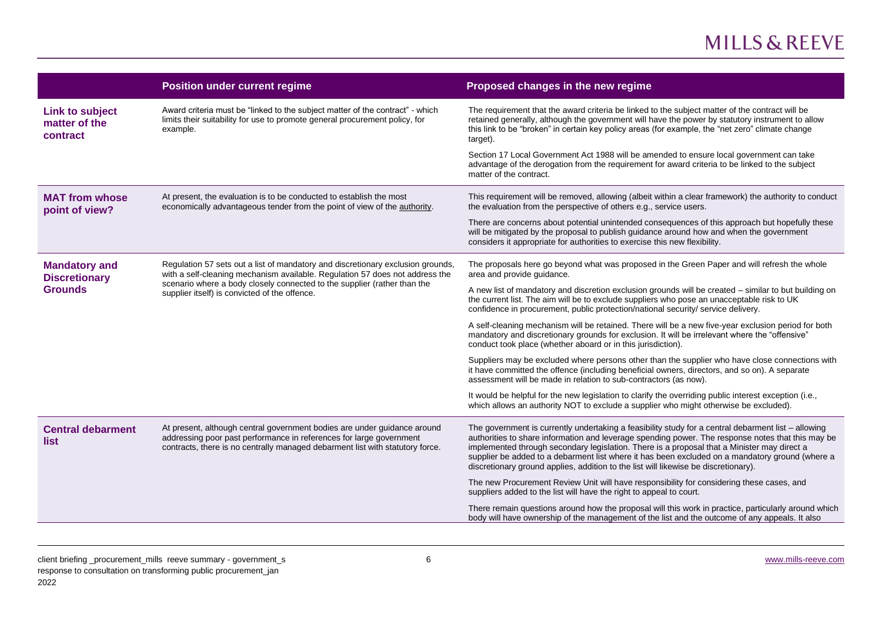|                                                                                                                                                                                                                                                                                                                                                                | <b>Position under current regime</b>                                                                                                                                                                                                                                  | Proposed changes in the new regime                                                                                                                                                                                                                                                                                                                                                                                                                                                                |
|----------------------------------------------------------------------------------------------------------------------------------------------------------------------------------------------------------------------------------------------------------------------------------------------------------------------------------------------------------------|-----------------------------------------------------------------------------------------------------------------------------------------------------------------------------------------------------------------------------------------------------------------------|---------------------------------------------------------------------------------------------------------------------------------------------------------------------------------------------------------------------------------------------------------------------------------------------------------------------------------------------------------------------------------------------------------------------------------------------------------------------------------------------------|
| <b>Link to subject</b><br>matter of the<br>contract                                                                                                                                                                                                                                                                                                            | Award criteria must be "linked to the subject matter of the contract" - which<br>limits their suitability for use to promote general procurement policy, for<br>example.                                                                                              | The requirement that the award criteria be linked to the subject matter of the contract will be<br>retained generally, although the government will have the power by statutory instrument to allow<br>this link to be "broken" in certain key policy areas (for example, the "net zero" climate change<br>target).                                                                                                                                                                               |
|                                                                                                                                                                                                                                                                                                                                                                |                                                                                                                                                                                                                                                                       | Section 17 Local Government Act 1988 will be amended to ensure local government can take<br>advantage of the derogation from the requirement for award criteria to be linked to the subject<br>matter of the contract.                                                                                                                                                                                                                                                                            |
| <b>MAT from whose</b><br>point of view?                                                                                                                                                                                                                                                                                                                        | At present, the evaluation is to be conducted to establish the most<br>economically advantageous tender from the point of view of the authority.                                                                                                                      | This requirement will be removed, allowing (albeit within a clear framework) the authority to conduct<br>the evaluation from the perspective of others e.g., service users.                                                                                                                                                                                                                                                                                                                       |
|                                                                                                                                                                                                                                                                                                                                                                |                                                                                                                                                                                                                                                                       | There are concerns about potential unintended consequences of this approach but hopefully these<br>will be mitigated by the proposal to publish guidance around how and when the government<br>considers it appropriate for authorities to exercise this new flexibility.                                                                                                                                                                                                                         |
| Regulation 57 sets out a list of mandatory and discretionary exclusion grounds,<br><b>Mandatory and</b><br>with a self-cleaning mechanism available. Regulation 57 does not address the<br><b>Discretionary</b><br>scenario where a body closely connected to the supplier (rather than the<br><b>Grounds</b><br>supplier itself) is convicted of the offence. |                                                                                                                                                                                                                                                                       | The proposals here go beyond what was proposed in the Green Paper and will refresh the whole<br>area and provide quidance.                                                                                                                                                                                                                                                                                                                                                                        |
|                                                                                                                                                                                                                                                                                                                                                                |                                                                                                                                                                                                                                                                       | A new list of mandatory and discretion exclusion grounds will be created - similar to but building on<br>the current list. The aim will be to exclude suppliers who pose an unacceptable risk to UK<br>confidence in procurement, public protection/national security/ service delivery.                                                                                                                                                                                                          |
|                                                                                                                                                                                                                                                                                                                                                                | A self-cleaning mechanism will be retained. There will be a new five-year exclusion period for both<br>mandatory and discretionary grounds for exclusion. It will be irrelevant where the "offensive"<br>conduct took place (whether aboard or in this jurisdiction). |                                                                                                                                                                                                                                                                                                                                                                                                                                                                                                   |
|                                                                                                                                                                                                                                                                                                                                                                |                                                                                                                                                                                                                                                                       | Suppliers may be excluded where persons other than the supplier who have close connections with<br>it have committed the offence (including beneficial owners, directors, and so on). A separate<br>assessment will be made in relation to sub-contractors (as now).                                                                                                                                                                                                                              |
|                                                                                                                                                                                                                                                                                                                                                                |                                                                                                                                                                                                                                                                       | It would be helpful for the new legislation to clarify the overriding public interest exception (i.e.,<br>which allows an authority NOT to exclude a supplier who might otherwise be excluded).                                                                                                                                                                                                                                                                                                   |
| <b>Central debarment</b><br>list                                                                                                                                                                                                                                                                                                                               | At present, although central government bodies are under guidance around<br>addressing poor past performance in references for large government<br>contracts, there is no centrally managed debarment list with statutory force.                                      | The government is currently undertaking a feasibility study for a central debarment list - allowing<br>authorities to share information and leverage spending power. The response notes that this may be<br>implemented through secondary legislation. There is a proposal that a Minister may direct a<br>supplier be added to a debarment list where it has been excluded on a mandatory ground (where a<br>discretionary ground applies, addition to the list will likewise be discretionary). |
|                                                                                                                                                                                                                                                                                                                                                                |                                                                                                                                                                                                                                                                       | The new Procurement Review Unit will have responsibility for considering these cases, and<br>suppliers added to the list will have the right to appeal to court.                                                                                                                                                                                                                                                                                                                                  |
|                                                                                                                                                                                                                                                                                                                                                                |                                                                                                                                                                                                                                                                       | There remain questions around how the proposal will this work in practice, particularly around which<br>body will have ownership of the management of the list and the outcome of any appeals. It also                                                                                                                                                                                                                                                                                            |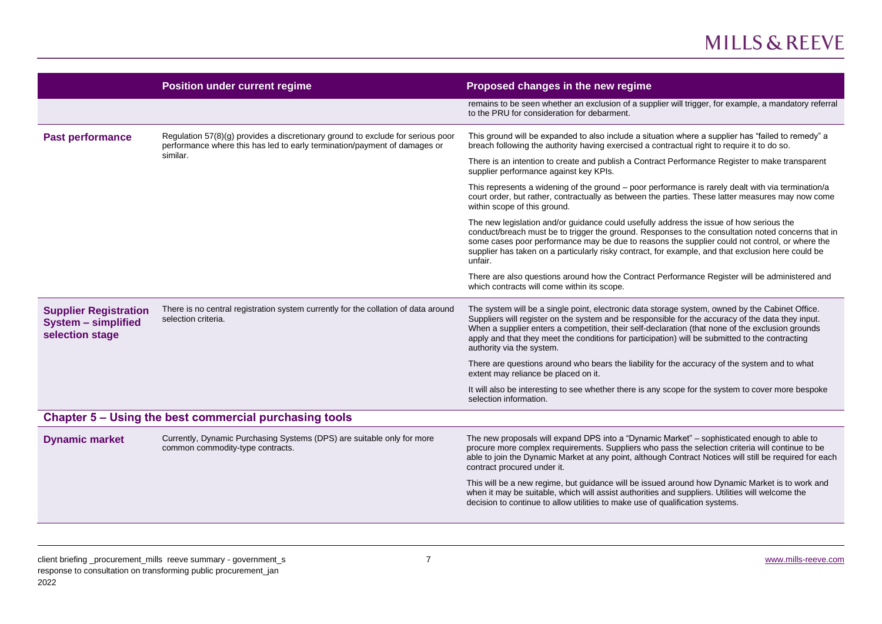|                                                                               | <b>Position under current regime</b>                                                                                                                                     | Proposed changes in the new regime                                                                                                                                                                                                                                                                                                                                                                                                       |
|-------------------------------------------------------------------------------|--------------------------------------------------------------------------------------------------------------------------------------------------------------------------|------------------------------------------------------------------------------------------------------------------------------------------------------------------------------------------------------------------------------------------------------------------------------------------------------------------------------------------------------------------------------------------------------------------------------------------|
|                                                                               |                                                                                                                                                                          | remains to be seen whether an exclusion of a supplier will trigger, for example, a mandatory referral<br>to the PRU for consideration for debarment.                                                                                                                                                                                                                                                                                     |
| <b>Past performance</b>                                                       | Regulation 57(8)(g) provides a discretionary ground to exclude for serious poor<br>performance where this has led to early termination/payment of damages or<br>similar. | This ground will be expanded to also include a situation where a supplier has "failed to remedy" a<br>breach following the authority having exercised a contractual right to require it to do so.                                                                                                                                                                                                                                        |
|                                                                               |                                                                                                                                                                          | There is an intention to create and publish a Contract Performance Register to make transparent<br>supplier performance against key KPIs.                                                                                                                                                                                                                                                                                                |
|                                                                               |                                                                                                                                                                          | This represents a widening of the ground - poor performance is rarely dealt with via termination/a<br>court order, but rather, contractually as between the parties. These latter measures may now come<br>within scope of this ground.                                                                                                                                                                                                  |
|                                                                               |                                                                                                                                                                          | The new legislation and/or guidance could usefully address the issue of how serious the<br>conduct/breach must be to trigger the ground. Responses to the consultation noted concerns that in<br>some cases poor performance may be due to reasons the supplier could not control, or where the<br>supplier has taken on a particularly risky contract, for example, and that exclusion here could be<br>unfair.                         |
|                                                                               |                                                                                                                                                                          | There are also questions around how the Contract Performance Register will be administered and<br>which contracts will come within its scope.                                                                                                                                                                                                                                                                                            |
| <b>Supplier Registration</b><br><b>System - simplified</b><br>selection stage | There is no central registration system currently for the collation of data around<br>selection criteria.                                                                | The system will be a single point, electronic data storage system, owned by the Cabinet Office.<br>Suppliers will register on the system and be responsible for the accuracy of the data they input.<br>When a supplier enters a competition, their self-declaration (that none of the exclusion grounds<br>apply and that they meet the conditions for participation) will be submitted to the contracting<br>authority via the system. |
|                                                                               |                                                                                                                                                                          | There are questions around who bears the liability for the accuracy of the system and to what<br>extent may reliance be placed on it.                                                                                                                                                                                                                                                                                                    |
|                                                                               |                                                                                                                                                                          | It will also be interesting to see whether there is any scope for the system to cover more bespoke<br>selection information.                                                                                                                                                                                                                                                                                                             |
|                                                                               | Chapter 5 – Using the best commercial purchasing tools                                                                                                                   |                                                                                                                                                                                                                                                                                                                                                                                                                                          |
| <b>Dynamic market</b>                                                         | Currently, Dynamic Purchasing Systems (DPS) are suitable only for more<br>common commodity-type contracts.                                                               | The new proposals will expand DPS into a "Dynamic Market" - sophisticated enough to able to<br>procure more complex requirements. Suppliers who pass the selection criteria will continue to be<br>able to join the Dynamic Market at any point, although Contract Notices will still be required for each<br>contract procured under it.                                                                                                |
|                                                                               |                                                                                                                                                                          | This will be a new regime, but guidance will be issued around how Dynamic Market is to work and<br>when it may be suitable, which will assist authorities and suppliers. Utilities will welcome the<br>decision to continue to allow utilities to make use of qualification systems.                                                                                                                                                     |
|                                                                               |                                                                                                                                                                          |                                                                                                                                                                                                                                                                                                                                                                                                                                          |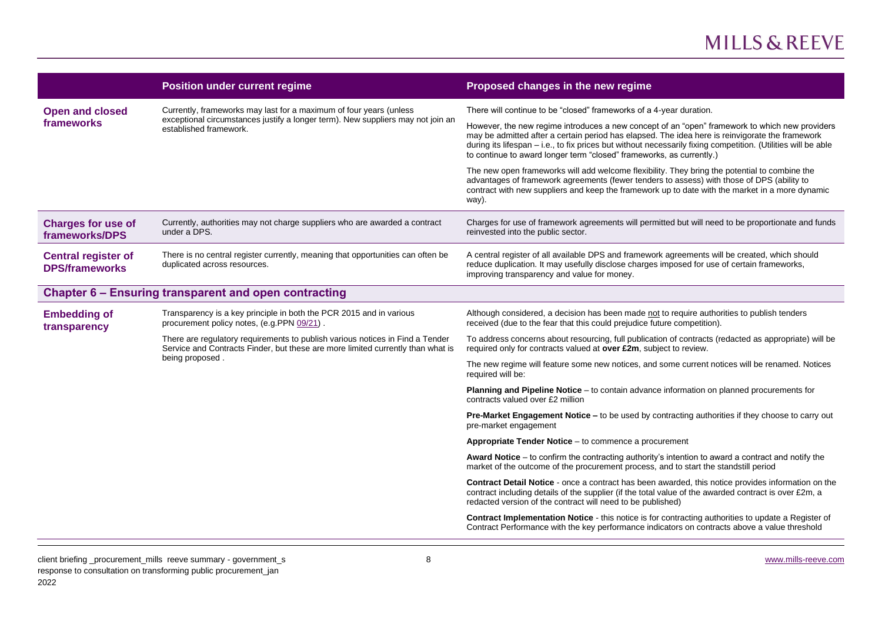|                                                     | <b>Position under current regime</b>                                                                                                                                                | Proposed changes in the new regime                                                                                                                                                                                                                                                                                                                                                         |
|-----------------------------------------------------|-------------------------------------------------------------------------------------------------------------------------------------------------------------------------------------|--------------------------------------------------------------------------------------------------------------------------------------------------------------------------------------------------------------------------------------------------------------------------------------------------------------------------------------------------------------------------------------------|
| <b>Open and closed</b>                              | Currently, frameworks may last for a maximum of four years (unless<br>exceptional circumstances justify a longer term). New suppliers may not join an<br>established framework.     | There will continue to be "closed" frameworks of a 4-year duration.                                                                                                                                                                                                                                                                                                                        |
| frameworks                                          |                                                                                                                                                                                     | However, the new regime introduces a new concept of an "open" framework to which new providers<br>may be admitted after a certain period has elapsed. The idea here is reinvigorate the framework<br>during its lifespan - i.e., to fix prices but without necessarily fixing competition. (Utilities will be able<br>to continue to award longer term "closed" frameworks, as currently.) |
|                                                     |                                                                                                                                                                                     | The new open frameworks will add welcome flexibility. They bring the potential to combine the<br>advantages of framework agreements (fewer tenders to assess) with those of DPS (ability to<br>contract with new suppliers and keep the framework up to date with the market in a more dynamic<br>way).                                                                                    |
| <b>Charges for use of</b><br>frameworks/DPS         | Currently, authorities may not charge suppliers who are awarded a contract<br>under a DPS.                                                                                          | Charges for use of framework agreements will permitted but will need to be proportionate and funds<br>reinvested into the public sector.                                                                                                                                                                                                                                                   |
| <b>Central register of</b><br><b>DPS/frameworks</b> | There is no central register currently, meaning that opportunities can often be<br>duplicated across resources.                                                                     | A central register of all available DPS and framework agreements will be created, which should<br>reduce duplication. It may usefully disclose charges imposed for use of certain frameworks,<br>improving transparency and value for money.                                                                                                                                               |
|                                                     | Chapter 6 – Ensuring transparent and open contracting                                                                                                                               |                                                                                                                                                                                                                                                                                                                                                                                            |
| <b>Embedding of</b><br>transparency                 | Transparency is a key principle in both the PCR 2015 and in various<br>procurement policy notes, (e.g.PPN 09/21).                                                                   | Although considered, a decision has been made not to require authorities to publish tenders<br>received (due to the fear that this could prejudice future competition).                                                                                                                                                                                                                    |
|                                                     | There are regulatory requirements to publish various notices in Find a Tender<br>Service and Contracts Finder, but these are more limited currently than what is<br>being proposed. | To address concerns about resourcing, full publication of contracts (redacted as appropriate) will be<br>required only for contracts valued at over £2m, subject to review.                                                                                                                                                                                                                |
|                                                     |                                                                                                                                                                                     | The new regime will feature some new notices, and some current notices will be renamed. Notices<br>required will be:                                                                                                                                                                                                                                                                       |
|                                                     |                                                                                                                                                                                     | Planning and Pipeline Notice - to contain advance information on planned procurements for<br>contracts valued over £2 million                                                                                                                                                                                                                                                              |
|                                                     |                                                                                                                                                                                     | Pre-Market Engagement Notice - to be used by contracting authorities if they choose to carry out<br>pre-market engagement                                                                                                                                                                                                                                                                  |
|                                                     |                                                                                                                                                                                     | Appropriate Tender Notice - to commence a procurement                                                                                                                                                                                                                                                                                                                                      |
|                                                     |                                                                                                                                                                                     | <b>Award Notice</b> $-$ to confirm the contracting authority's intention to award a contract and notify the<br>market of the outcome of the procurement process, and to start the standstill period                                                                                                                                                                                        |
|                                                     |                                                                                                                                                                                     | Contract Detail Notice - once a contract has been awarded, this notice provides information on the<br>contract including details of the supplier (if the total value of the awarded contract is over £2m, a<br>redacted version of the contract will need to be published)                                                                                                                 |
|                                                     |                                                                                                                                                                                     | <b>Contract Implementation Notice - this notice is for contracting authorities to update a Register of</b><br>Contract Performance with the key performance indicators on contracts above a value threshold                                                                                                                                                                                |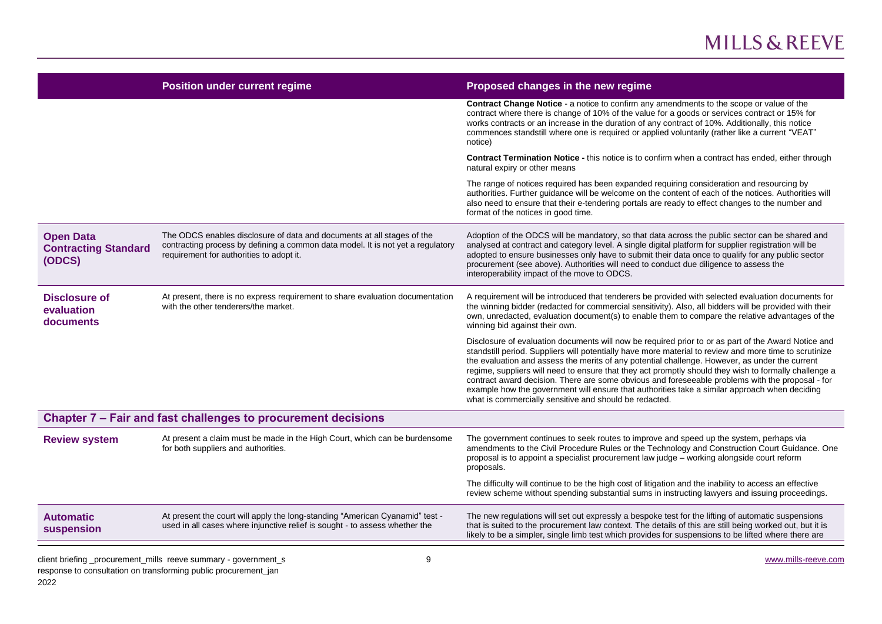|                                                           | <b>Position under current regime</b>                                                                                                                                                                  | Proposed changes in the new regime                                                                                                                                                                                                                                                                                                                                                                                                                                                                                                                                                                                                                                                      |
|-----------------------------------------------------------|-------------------------------------------------------------------------------------------------------------------------------------------------------------------------------------------------------|-----------------------------------------------------------------------------------------------------------------------------------------------------------------------------------------------------------------------------------------------------------------------------------------------------------------------------------------------------------------------------------------------------------------------------------------------------------------------------------------------------------------------------------------------------------------------------------------------------------------------------------------------------------------------------------------|
|                                                           |                                                                                                                                                                                                       | Contract Change Notice - a notice to confirm any amendments to the scope or value of the<br>contract where there is change of 10% of the value for a goods or services contract or 15% for<br>works contracts or an increase in the duration of any contract of 10%. Additionally, this notice<br>commences standstill where one is required or applied voluntarily (rather like a current "VEAT"<br>notice)                                                                                                                                                                                                                                                                            |
|                                                           |                                                                                                                                                                                                       | Contract Termination Notice - this notice is to confirm when a contract has ended, either through<br>natural expiry or other means                                                                                                                                                                                                                                                                                                                                                                                                                                                                                                                                                      |
|                                                           |                                                                                                                                                                                                       | The range of notices required has been expanded requiring consideration and resourcing by<br>authorities. Further guidance will be welcome on the content of each of the notices. Authorities will<br>also need to ensure that their e-tendering portals are ready to effect changes to the number and<br>format of the notices in good time.                                                                                                                                                                                                                                                                                                                                           |
| <b>Open Data</b><br><b>Contracting Standard</b><br>(ODCS) | The ODCS enables disclosure of data and documents at all stages of the<br>contracting process by defining a common data model. It is not yet a regulatory<br>requirement for authorities to adopt it. | Adoption of the ODCS will be mandatory, so that data across the public sector can be shared and<br>analysed at contract and category level. A single digital platform for supplier registration will be<br>adopted to ensure businesses only have to submit their data once to qualify for any public sector<br>procurement (see above). Authorities will need to conduct due diligence to assess the<br>interoperability impact of the move to ODCS.                                                                                                                                                                                                                                   |
| <b>Disclosure of</b><br>evaluation<br>documents           | At present, there is no express requirement to share evaluation documentation<br>with the other tenderers/the market.                                                                                 | A requirement will be introduced that tenderers be provided with selected evaluation documents for<br>the winning bidder (redacted for commercial sensitivity). Also, all bidders will be provided with their<br>own, unredacted, evaluation document(s) to enable them to compare the relative advantages of the<br>winning bid against their own.                                                                                                                                                                                                                                                                                                                                     |
|                                                           |                                                                                                                                                                                                       | Disclosure of evaluation documents will now be required prior to or as part of the Award Notice and<br>standstill period. Suppliers will potentially have more material to review and more time to scrutinize<br>the evaluation and assess the merits of any potential challenge. However, as under the current<br>regime, suppliers will need to ensure that they act promptly should they wish to formally challenge a<br>contract award decision. There are some obvious and foreseeable problems with the proposal - for<br>example how the government will ensure that authorities take a similar approach when deciding<br>what is commercially sensitive and should be redacted. |
|                                                           | Chapter 7 - Fair and fast challenges to procurement decisions                                                                                                                                         |                                                                                                                                                                                                                                                                                                                                                                                                                                                                                                                                                                                                                                                                                         |
| <b>Review system</b>                                      | At present a claim must be made in the High Court, which can be burdensome<br>for both suppliers and authorities.                                                                                     | The government continues to seek routes to improve and speed up the system, perhaps via<br>amendments to the Civil Procedure Rules or the Technology and Construction Court Guidance. One<br>proposal is to appoint a specialist procurement law judge - working alongside court reform<br>proposals.                                                                                                                                                                                                                                                                                                                                                                                   |
|                                                           |                                                                                                                                                                                                       | The difficulty will continue to be the high cost of litigation and the inability to access an effective<br>review scheme without spending substantial sums in instructing lawyers and issuing proceedings.                                                                                                                                                                                                                                                                                                                                                                                                                                                                              |
| <b>Automatic</b><br>suspension                            | At present the court will apply the long-standing "American Cyanamid" test -<br>used in all cases where injunctive relief is sought - to assess whether the                                           | The new regulations will set out expressly a bespoke test for the lifting of automatic suspensions<br>that is suited to the procurement law context. The details of this are still being worked out, but it is<br>likely to be a simpler, single limb test which provides for suspensions to be lifted where there are                                                                                                                                                                                                                                                                                                                                                                  |
|                                                           | client briefing procurement mills reeve summary - government s<br>9                                                                                                                                   | www.mills-reeve.com                                                                                                                                                                                                                                                                                                                                                                                                                                                                                                                                                                                                                                                                     |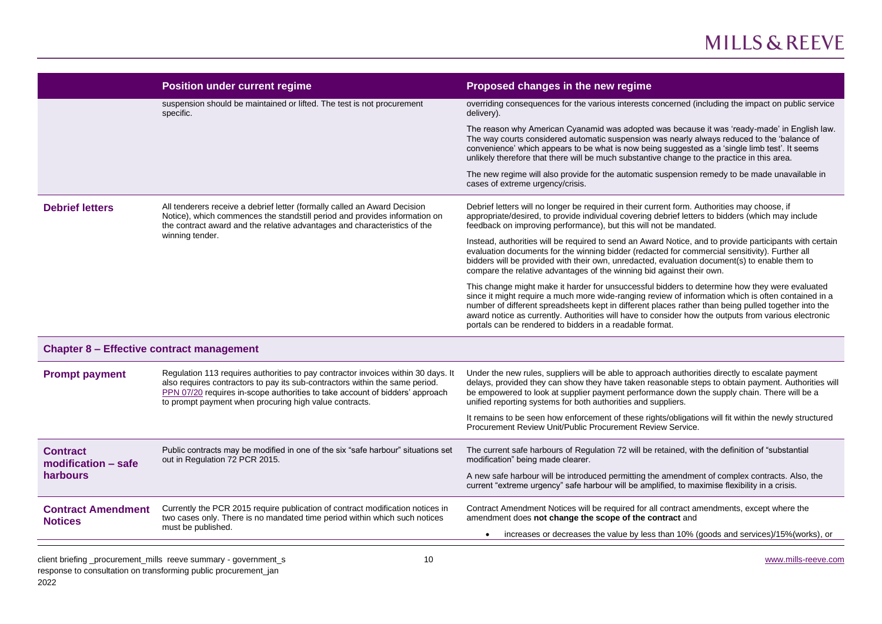|                                                  | <b>Position under current regime</b>                                                                                                                                                                                                                                                                        | Proposed changes in the new regime                                                                                                                                                                                                                                                                                                                                                                                                                                                |
|--------------------------------------------------|-------------------------------------------------------------------------------------------------------------------------------------------------------------------------------------------------------------------------------------------------------------------------------------------------------------|-----------------------------------------------------------------------------------------------------------------------------------------------------------------------------------------------------------------------------------------------------------------------------------------------------------------------------------------------------------------------------------------------------------------------------------------------------------------------------------|
|                                                  | suspension should be maintained or lifted. The test is not procurement<br>specific.                                                                                                                                                                                                                         | overriding consequences for the various interests concerned (including the impact on public service<br>delivery).                                                                                                                                                                                                                                                                                                                                                                 |
|                                                  |                                                                                                                                                                                                                                                                                                             | The reason why American Cyanamid was adopted was because it was 'ready-made' in English law.<br>The way courts considered automatic suspension was nearly always reduced to the 'balance of<br>convenience' which appears to be what is now being suggested as a 'single limb test'. It seems<br>unlikely therefore that there will be much substantive change to the practice in this area.                                                                                      |
|                                                  |                                                                                                                                                                                                                                                                                                             | The new regime will also provide for the automatic suspension remedy to be made unavailable in<br>cases of extreme urgency/crisis.                                                                                                                                                                                                                                                                                                                                                |
| <b>Debrief letters</b>                           | All tenderers receive a debrief letter (formally called an Award Decision<br>Notice), which commences the standstill period and provides information on<br>the contract award and the relative advantages and characteristics of the<br>winning tender.                                                     | Debrief letters will no longer be required in their current form. Authorities may choose, if<br>appropriate/desired, to provide individual covering debrief letters to bidders (which may include<br>feedback on improving performance), but this will not be mandated.                                                                                                                                                                                                           |
|                                                  |                                                                                                                                                                                                                                                                                                             | Instead, authorities will be required to send an Award Notice, and to provide participants with certain<br>evaluation documents for the winning bidder (redacted for commercial sensitivity). Further all<br>bidders will be provided with their own, unredacted, evaluation document(s) to enable them to<br>compare the relative advantages of the winning bid against their own.                                                                                               |
|                                                  |                                                                                                                                                                                                                                                                                                             | This change might make it harder for unsuccessful bidders to determine how they were evaluated<br>since it might require a much more wide-ranging review of information which is often contained in a<br>number of different spreadsheets kept in different places rather than being pulled together into the<br>award notice as currently. Authorities will have to consider how the outputs from various electronic<br>portals can be rendered to bidders in a readable format. |
| <b>Chapter 8 - Effective contract management</b> |                                                                                                                                                                                                                                                                                                             |                                                                                                                                                                                                                                                                                                                                                                                                                                                                                   |
| <b>Prompt payment</b>                            | Regulation 113 requires authorities to pay contractor invoices within 30 days. It<br>also requires contractors to pay its sub-contractors within the same period.<br>PPN 07/20 requires in-scope authorities to take account of bidders' approach<br>to prompt payment when procuring high value contracts. | Under the new rules, suppliers will be able to approach authorities directly to escalate payment<br>delays, provided they can show they have taken reasonable steps to obtain payment. Authorities will<br>be empowered to look at supplier payment performance down the supply chain. There will be a<br>unified reporting systems for both authorities and suppliers.                                                                                                           |
|                                                  |                                                                                                                                                                                                                                                                                                             | It remains to be seen how enforcement of these rights/obligations will fit within the newly structured<br>Procurement Review Unit/Public Procurement Review Service.                                                                                                                                                                                                                                                                                                              |
| <b>Contract</b><br>modification - safe           | Public contracts may be modified in one of the six "safe harbour" situations set<br>out in Regulation 72 PCR 2015.                                                                                                                                                                                          | The current safe harbours of Regulation 72 will be retained, with the definition of "substantial<br>modification" being made clearer.                                                                                                                                                                                                                                                                                                                                             |
| harbours                                         |                                                                                                                                                                                                                                                                                                             | A new safe harbour will be introduced permitting the amendment of complex contracts. Also, the<br>current "extreme urgency" safe harbour will be amplified, to maximise flexibility in a crisis.                                                                                                                                                                                                                                                                                  |
| <b>Contract Amendment</b><br><b>Notices</b>      | Currently the PCR 2015 require publication of contract modification notices in<br>two cases only. There is no mandated time period within which such notices                                                                                                                                                | Contract Amendment Notices will be required for all contract amendments, except where the<br>amendment does not change the scope of the contract and                                                                                                                                                                                                                                                                                                                              |
|                                                  | must be published.                                                                                                                                                                                                                                                                                          | increases or decreases the value by less than 10% (goods and services)/15% (works), or<br>$\bullet$                                                                                                                                                                                                                                                                                                                                                                               |
|                                                  | client briefing _procurement_mills reeve summary - government_s<br>10                                                                                                                                                                                                                                       | www.mills-reeve.com                                                                                                                                                                                                                                                                                                                                                                                                                                                               |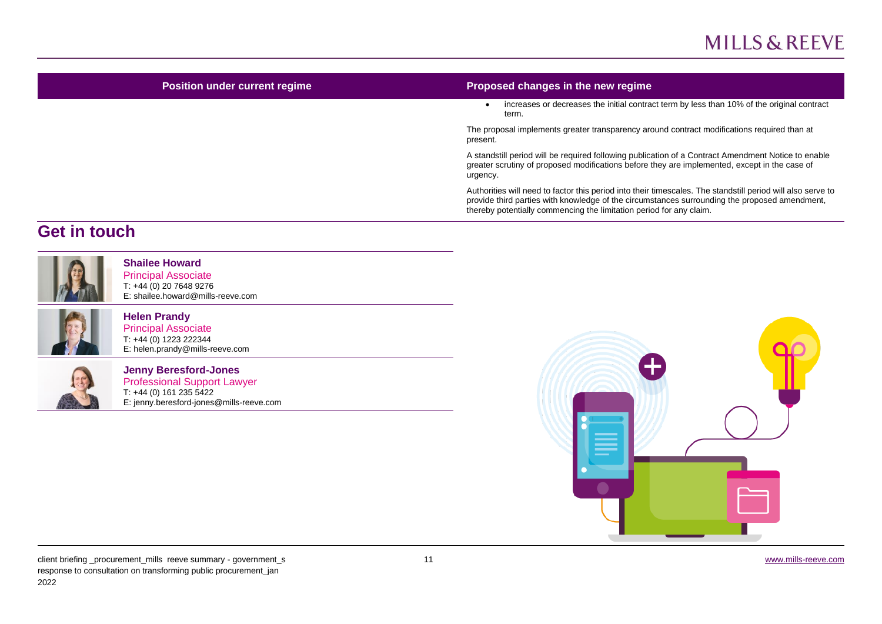| <b>Position under current regime</b> | Proposed changes in the new regime                                                                                                                                                                                                                                                  |
|--------------------------------------|-------------------------------------------------------------------------------------------------------------------------------------------------------------------------------------------------------------------------------------------------------------------------------------|
|                                      | increases or decreases the initial contract term by less than 10% of the original contract<br>term.                                                                                                                                                                                 |
|                                      | The proposal implements greater transparency around contract modifications required than at<br>present.                                                                                                                                                                             |
|                                      | A standstill period will be required following publication of a Contract Amendment Notice to enable<br>greater scrutiny of proposed modifications before they are implemented, except in the case of<br>urgency.                                                                    |
|                                      | Authorities will need to factor this period into their timescales. The standstill period will also serve to<br>provide third parties with knowledge of the circumstances surrounding the proposed amendment,<br>thereby potentially commencing the limitation period for any claim. |
| <b>Get in touch</b>                  |                                                                                                                                                                                                                                                                                     |



#### **Shailee Howard**

Principal Associate T: +44 (0) 20 7648 9276 E: shailee.howard@mills-reeve.com



#### **Helen Prandy**

Principal Associate T: +44 (0) 1223 222344 E: helen.prandy@mills-reeve.com



Professional Support Lawyer T: +44 (0) 161 235 5422 E: jenny.beresford-jones@mills-reeve.com